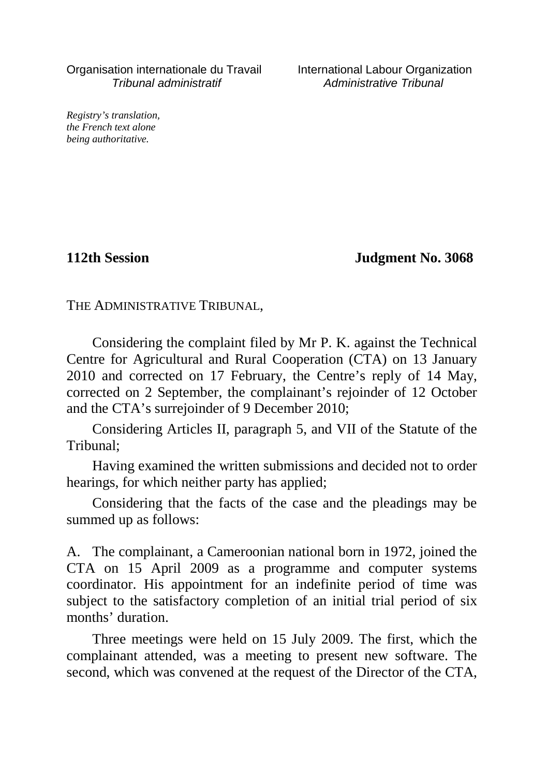Organisation internationale du Travail International Labour Organization Tribunal administratif Administrative Tribunal

*Registry's translation, the French text alone being authoritative.*

**112th Session Judgment No. 3068**

THE ADMINISTRATIVE TRIBUNAL,

Considering the complaint filed by Mr P. K. against the Technical Centre for Agricultural and Rural Cooperation (CTA) on 13 January 2010 and corrected on 17 February, the Centre's reply of 14 May, corrected on 2 September, the complainant's rejoinder of 12 October and the CTA's surrejoinder of 9 December 2010;

Considering Articles II, paragraph 5, and VII of the Statute of the Tribunal;

Having examined the written submissions and decided not to order hearings, for which neither party has applied;

Considering that the facts of the case and the pleadings may be summed up as follows:

A. The complainant, a Cameroonian national born in 1972, joined the CTA on 15 April 2009 as a programme and computer systems coordinator. His appointment for an indefinite period of time was subject to the satisfactory completion of an initial trial period of six months' duration.

Three meetings were held on 15 July 2009. The first, which the complainant attended, was a meeting to present new software. The second, which was convened at the request of the Director of the CTA,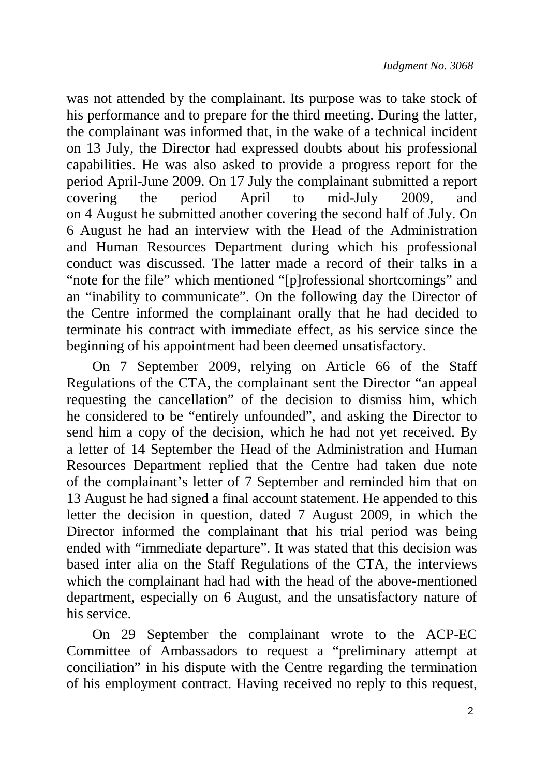was not attended by the complainant. Its purpose was to take stock of his performance and to prepare for the third meeting. During the latter, the complainant was informed that, in the wake of a technical incident on 13 July, the Director had expressed doubts about his professional capabilities. He was also asked to provide a progress report for the period April-June 2009. On 17 July the complainant submitted a report covering the period April to mid-July 2009, and on 4 August he submitted another covering the second half of July. On 6 August he had an interview with the Head of the Administration and Human Resources Department during which his professional conduct was discussed. The latter made a record of their talks in a "note for the file" which mentioned "[p]rofessional shortcomings" and an "inability to communicate". On the following day the Director of the Centre informed the complainant orally that he had decided to terminate his contract with immediate effect, as his service since the beginning of his appointment had been deemed unsatisfactory.

On 7 September 2009, relying on Article 66 of the Staff Regulations of the CTA, the complainant sent the Director "an appeal requesting the cancellation" of the decision to dismiss him, which he considered to be "entirely unfounded", and asking the Director to send him a copy of the decision, which he had not yet received. By a letter of 14 September the Head of the Administration and Human Resources Department replied that the Centre had taken due note of the complainant's letter of 7 September and reminded him that on 13 August he had signed a final account statement. He appended to this letter the decision in question, dated 7 August 2009, in which the Director informed the complainant that his trial period was being ended with "immediate departure". It was stated that this decision was based inter alia on the Staff Regulations of the CTA, the interviews which the complainant had had with the head of the above-mentioned department, especially on 6 August, and the unsatisfactory nature of his service.

On 29 September the complainant wrote to the ACP-EC Committee of Ambassadors to request a "preliminary attempt at conciliation" in his dispute with the Centre regarding the termination of his employment contract. Having received no reply to this request,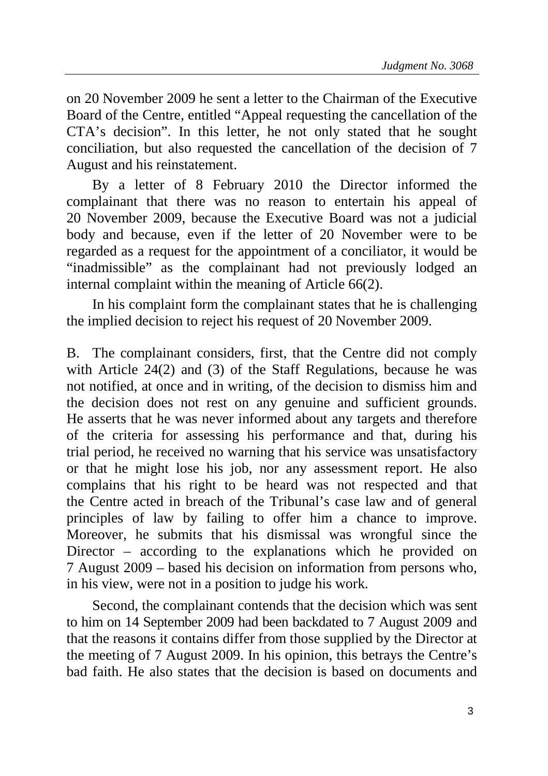on 20 November 2009 he sent a letter to the Chairman of the Executive Board of the Centre, entitled "Appeal requesting the cancellation of the CTA's decision". In this letter, he not only stated that he sought conciliation, but also requested the cancellation of the decision of 7 August and his reinstatement.

By a letter of 8 February 2010 the Director informed the complainant that there was no reason to entertain his appeal of 20 November 2009, because the Executive Board was not a judicial body and because, even if the letter of 20 November were to be regarded as a request for the appointment of a conciliator, it would be "inadmissible" as the complainant had not previously lodged an internal complaint within the meaning of Article 66(2).

In his complaint form the complainant states that he is challenging the implied decision to reject his request of 20 November 2009.

B. The complainant considers, first, that the Centre did not comply with Article 24(2) and (3) of the Staff Regulations, because he was not notified, at once and in writing, of the decision to dismiss him and the decision does not rest on any genuine and sufficient grounds. He asserts that he was never informed about any targets and therefore of the criteria for assessing his performance and that, during his trial period, he received no warning that his service was unsatisfactory or that he might lose his job, nor any assessment report. He also complains that his right to be heard was not respected and that the Centre acted in breach of the Tribunal's case law and of general principles of law by failing to offer him a chance to improve. Moreover, he submits that his dismissal was wrongful since the Director – according to the explanations which he provided on 7 August 2009 – based his decision on information from persons who, in his view, were not in a position to judge his work.

Second, the complainant contends that the decision which was sent to him on 14 September 2009 had been backdated to 7 August 2009 and that the reasons it contains differ from those supplied by the Director at the meeting of 7 August 2009. In his opinion, this betrays the Centre's bad faith. He also states that the decision is based on documents and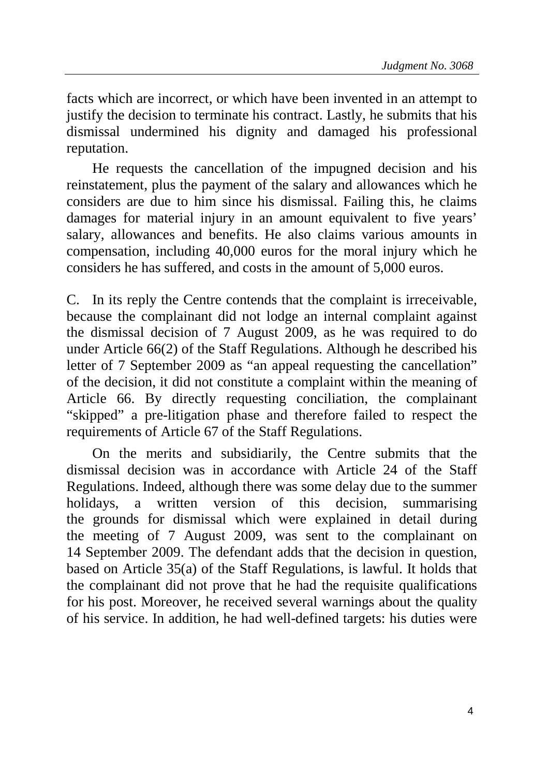facts which are incorrect, or which have been invented in an attempt to justify the decision to terminate his contract. Lastly, he submits that his dismissal undermined his dignity and damaged his professional reputation.

He requests the cancellation of the impugned decision and his reinstatement, plus the payment of the salary and allowances which he considers are due to him since his dismissal. Failing this, he claims damages for material injury in an amount equivalent to five years' salary, allowances and benefits. He also claims various amounts in compensation, including 40,000 euros for the moral injury which he considers he has suffered, and costs in the amount of 5,000 euros.

C. In its reply the Centre contends that the complaint is irreceivable, because the complainant did not lodge an internal complaint against the dismissal decision of 7 August 2009, as he was required to do under Article 66(2) of the Staff Regulations. Although he described his letter of 7 September 2009 as "an appeal requesting the cancellation" of the decision, it did not constitute a complaint within the meaning of Article 66. By directly requesting conciliation, the complainant "skipped" a pre-litigation phase and therefore failed to respect the requirements of Article 67 of the Staff Regulations.

On the merits and subsidiarily, the Centre submits that the dismissal decision was in accordance with Article 24 of the Staff Regulations. Indeed, although there was some delay due to the summer holidays, a written version of this decision, summarising the grounds for dismissal which were explained in detail during the meeting of 7 August 2009, was sent to the complainant on 14 September 2009. The defendant adds that the decision in question, based on Article 35(a) of the Staff Regulations, is lawful. It holds that the complainant did not prove that he had the requisite qualifications for his post. Moreover, he received several warnings about the quality of his service. In addition, he had well-defined targets: his duties were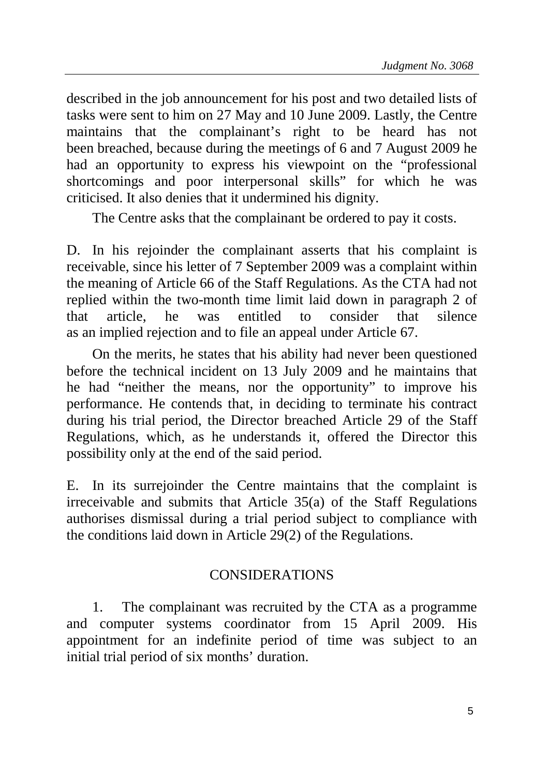described in the job announcement for his post and two detailed lists of tasks were sent to him on 27 May and 10 June 2009. Lastly, the Centre maintains that the complainant's right to be heard has not been breached, because during the meetings of 6 and 7 August 2009 he had an opportunity to express his viewpoint on the "professional shortcomings and poor interpersonal skills" for which he was criticised. It also denies that it undermined his dignity.

The Centre asks that the complainant be ordered to pay it costs.

D. In his rejoinder the complainant asserts that his complaint is receivable, since his letter of 7 September 2009 was a complaint within the meaning of Article 66 of the Staff Regulations. As the CTA had not replied within the two-month time limit laid down in paragraph 2 of that article, he was entitled to consider that silence as an implied rejection and to file an appeal under Article 67.

On the merits, he states that his ability had never been questioned before the technical incident on 13 July 2009 and he maintains that he had "neither the means, nor the opportunity" to improve his performance. He contends that, in deciding to terminate his contract during his trial period, the Director breached Article 29 of the Staff Regulations, which, as he understands it, offered the Director this possibility only at the end of the said period.

E. In its surrejoinder the Centre maintains that the complaint is irreceivable and submits that Article 35(a) of the Staff Regulations authorises dismissal during a trial period subject to compliance with the conditions laid down in Article 29(2) of the Regulations.

## CONSIDERATIONS

1. The complainant was recruited by the CTA as a programme and computer systems coordinator from 15 April 2009. His appointment for an indefinite period of time was subject to an initial trial period of six months' duration.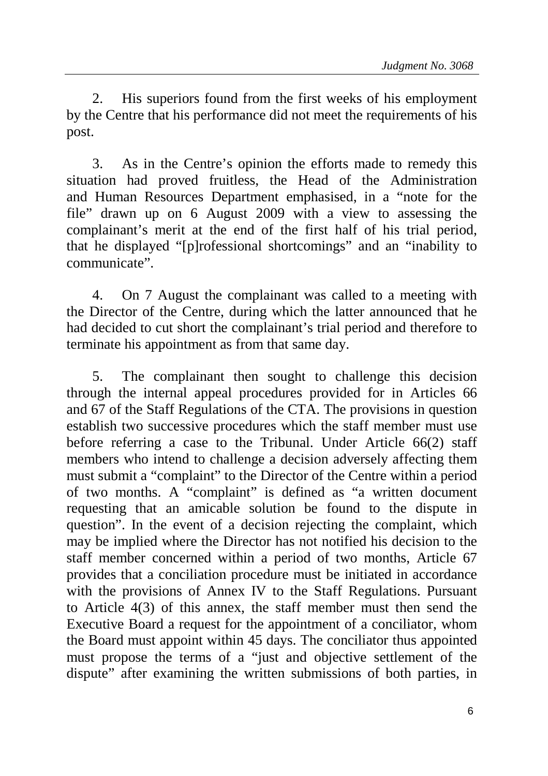2. His superiors found from the first weeks of his employment by the Centre that his performance did not meet the requirements of his post.

3. As in the Centre's opinion the efforts made to remedy this situation had proved fruitless, the Head of the Administration and Human Resources Department emphasised, in a "note for the file" drawn up on 6 August 2009 with a view to assessing the complainant's merit at the end of the first half of his trial period, that he displayed "[p]rofessional shortcomings" and an "inability to communicate".

4. On 7 August the complainant was called to a meeting with the Director of the Centre, during which the latter announced that he had decided to cut short the complainant's trial period and therefore to terminate his appointment as from that same day.

5. The complainant then sought to challenge this decision through the internal appeal procedures provided for in Articles 66 and 67 of the Staff Regulations of the CTA. The provisions in question establish two successive procedures which the staff member must use before referring a case to the Tribunal. Under Article 66(2) staff members who intend to challenge a decision adversely affecting them must submit a "complaint" to the Director of the Centre within a period of two months. A "complaint" is defined as "a written document requesting that an amicable solution be found to the dispute in question". In the event of a decision rejecting the complaint, which may be implied where the Director has not notified his decision to the staff member concerned within a period of two months, Article 67 provides that a conciliation procedure must be initiated in accordance with the provisions of Annex IV to the Staff Regulations. Pursuant to Article 4(3) of this annex, the staff member must then send the Executive Board a request for the appointment of a conciliator, whom the Board must appoint within 45 days. The conciliator thus appointed must propose the terms of a "just and objective settlement of the dispute" after examining the written submissions of both parties, in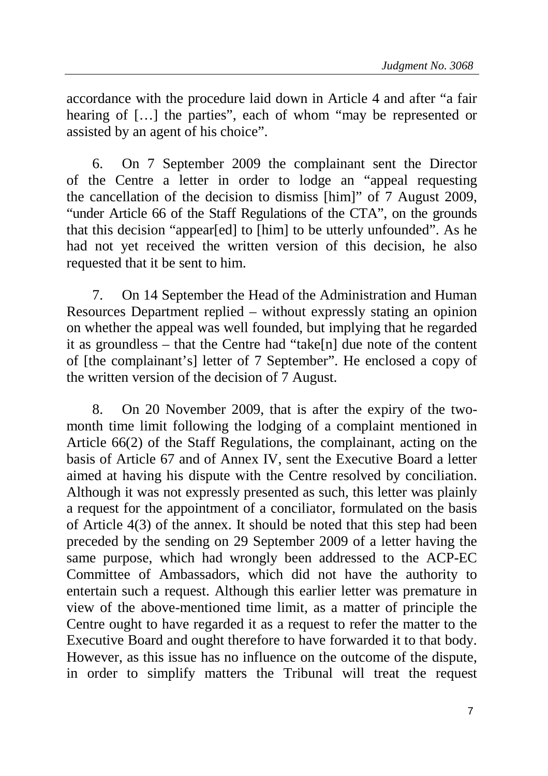accordance with the procedure laid down in Article 4 and after "a fair hearing of [...] the parties", each of whom "may be represented or assisted by an agent of his choice".

6. On 7 September 2009 the complainant sent the Director of the Centre a letter in order to lodge an "appeal requesting the cancellation of the decision to dismiss [him]" of 7 August 2009, "under Article 66 of the Staff Regulations of the CTA", on the grounds that this decision "appear[ed] to [him] to be utterly unfounded". As he had not yet received the written version of this decision, he also requested that it be sent to him.

7. On 14 September the Head of the Administration and Human Resources Department replied – without expressly stating an opinion on whether the appeal was well founded, but implying that he regarded it as groundless – that the Centre had "take[n] due note of the content of [the complainant's] letter of 7 September". He enclosed a copy of the written version of the decision of 7 August.

8. On 20 November 2009, that is after the expiry of the twomonth time limit following the lodging of a complaint mentioned in Article 66(2) of the Staff Regulations, the complainant, acting on the basis of Article 67 and of Annex IV, sent the Executive Board a letter aimed at having his dispute with the Centre resolved by conciliation. Although it was not expressly presented as such, this letter was plainly a request for the appointment of a conciliator, formulated on the basis of Article 4(3) of the annex. It should be noted that this step had been preceded by the sending on 29 September 2009 of a letter having the same purpose, which had wrongly been addressed to the ACP-EC Committee of Ambassadors, which did not have the authority to entertain such a request. Although this earlier letter was premature in view of the above-mentioned time limit, as a matter of principle the Centre ought to have regarded it as a request to refer the matter to the Executive Board and ought therefore to have forwarded it to that body. However, as this issue has no influence on the outcome of the dispute, in order to simplify matters the Tribunal will treat the request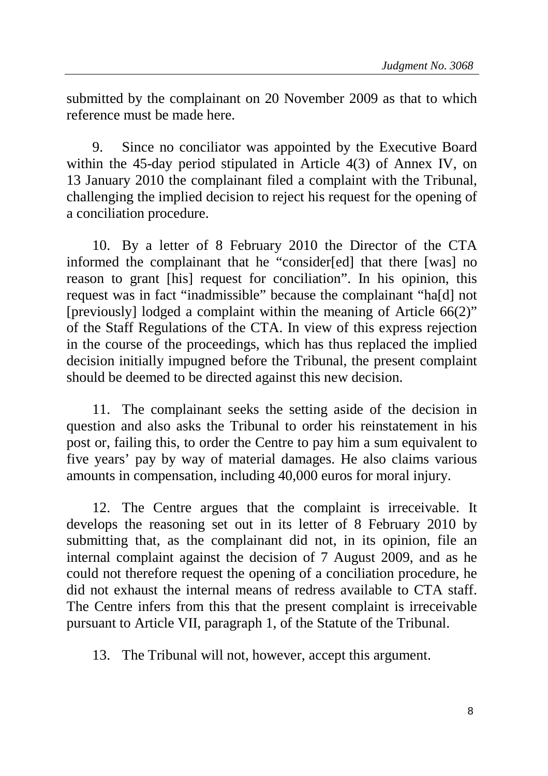submitted by the complainant on 20 November 2009 as that to which reference must be made here.

9. Since no conciliator was appointed by the Executive Board within the 45-day period stipulated in Article 4(3) of Annex IV, on 13 January 2010 the complainant filed a complaint with the Tribunal, challenging the implied decision to reject his request for the opening of a conciliation procedure.

10. By a letter of 8 February 2010 the Director of the CTA informed the complainant that he "consider[ed] that there [was] no reason to grant [his] request for conciliation". In his opinion, this request was in fact "inadmissible" because the complainant "ha[d] not [previously] lodged a complaint within the meaning of Article  $66(2)$ " of the Staff Regulations of the CTA. In view of this express rejection in the course of the proceedings, which has thus replaced the implied decision initially impugned before the Tribunal, the present complaint should be deemed to be directed against this new decision.

11. The complainant seeks the setting aside of the decision in question and also asks the Tribunal to order his reinstatement in his post or, failing this, to order the Centre to pay him a sum equivalent to five years' pay by way of material damages. He also claims various amounts in compensation, including 40,000 euros for moral injury.

12. The Centre argues that the complaint is irreceivable. It develops the reasoning set out in its letter of 8 February 2010 by submitting that, as the complainant did not, in its opinion, file an internal complaint against the decision of 7 August 2009, and as he could not therefore request the opening of a conciliation procedure, he did not exhaust the internal means of redress available to CTA staff. The Centre infers from this that the present complaint is irreceivable pursuant to Article VII, paragraph 1, of the Statute of the Tribunal.

13. The Tribunal will not, however, accept this argument.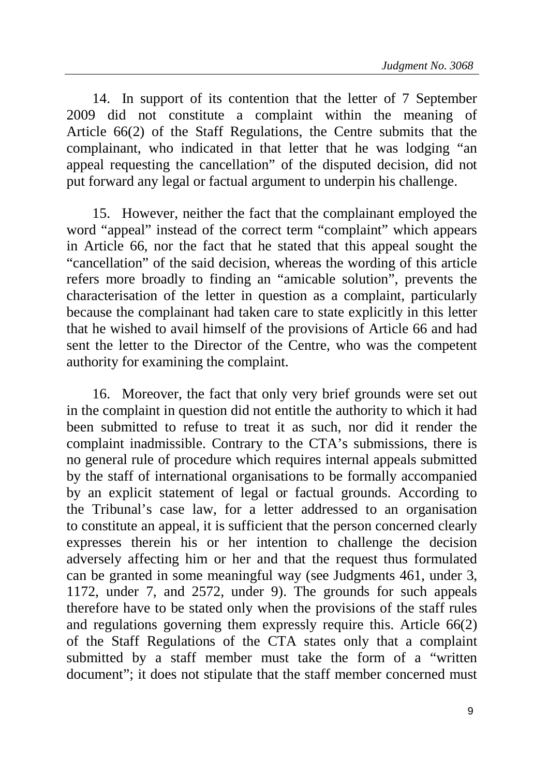14. In support of its contention that the letter of 7 September 2009 did not constitute a complaint within the meaning of Article 66(2) of the Staff Regulations, the Centre submits that the complainant, who indicated in that letter that he was lodging "an appeal requesting the cancellation" of the disputed decision, did not put forward any legal or factual argument to underpin his challenge.

15. However, neither the fact that the complainant employed the word "appeal" instead of the correct term "complaint" which appears in Article 66, nor the fact that he stated that this appeal sought the "cancellation" of the said decision, whereas the wording of this article refers more broadly to finding an "amicable solution", prevents the characterisation of the letter in question as a complaint, particularly because the complainant had taken care to state explicitly in this letter that he wished to avail himself of the provisions of Article 66 and had sent the letter to the Director of the Centre, who was the competent authority for examining the complaint.

16. Moreover, the fact that only very brief grounds were set out in the complaint in question did not entitle the authority to which it had been submitted to refuse to treat it as such, nor did it render the complaint inadmissible. Contrary to the CTA's submissions, there is no general rule of procedure which requires internal appeals submitted by the staff of international organisations to be formally accompanied by an explicit statement of legal or factual grounds. According to the Tribunal's case law, for a letter addressed to an organisation to constitute an appeal, it is sufficient that the person concerned clearly expresses therein his or her intention to challenge the decision adversely affecting him or her and that the request thus formulated can be granted in some meaningful way (see Judgments 461, under 3, 1172, under 7, and 2572, under 9). The grounds for such appeals therefore have to be stated only when the provisions of the staff rules and regulations governing them expressly require this. Article 66(2) of the Staff Regulations of the CTA states only that a complaint submitted by a staff member must take the form of a "written document"; it does not stipulate that the staff member concerned must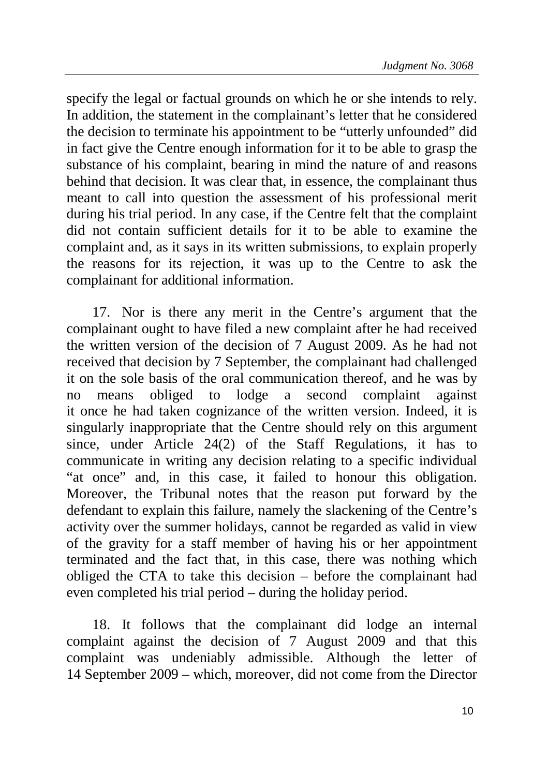specify the legal or factual grounds on which he or she intends to rely. In addition, the statement in the complainant's letter that he considered the decision to terminate his appointment to be "utterly unfounded" did in fact give the Centre enough information for it to be able to grasp the substance of his complaint, bearing in mind the nature of and reasons behind that decision. It was clear that, in essence, the complainant thus meant to call into question the assessment of his professional merit during his trial period. In any case, if the Centre felt that the complaint did not contain sufficient details for it to be able to examine the complaint and, as it says in its written submissions, to explain properly the reasons for its rejection, it was up to the Centre to ask the complainant for additional information.

17. Nor is there any merit in the Centre's argument that the complainant ought to have filed a new complaint after he had received the written version of the decision of 7 August 2009. As he had not received that decision by 7 September, the complainant had challenged it on the sole basis of the oral communication thereof, and he was by no means obliged to lodge a second complaint against it once he had taken cognizance of the written version. Indeed, it is singularly inappropriate that the Centre should rely on this argument since, under Article 24(2) of the Staff Regulations, it has to communicate in writing any decision relating to a specific individual "at once" and, in this case, it failed to honour this obligation. Moreover, the Tribunal notes that the reason put forward by the defendant to explain this failure, namely the slackening of the Centre's activity over the summer holidays, cannot be regarded as valid in view of the gravity for a staff member of having his or her appointment terminated and the fact that, in this case, there was nothing which obliged the CTA to take this decision – before the complainant had even completed his trial period – during the holiday period.

18. It follows that the complainant did lodge an internal complaint against the decision of 7 August 2009 and that this complaint was undeniably admissible. Although the letter of 14 September 2009 – which, moreover, did not come from the Director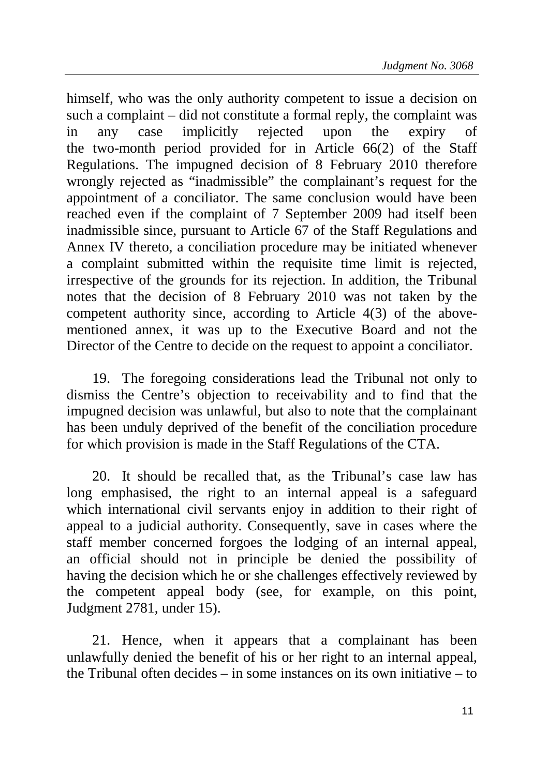himself, who was the only authority competent to issue a decision on such a complaint – did not constitute a formal reply, the complaint was in any case implicitly rejected upon the expiry of the two-month period provided for in Article 66(2) of the Staff Regulations. The impugned decision of 8 February 2010 therefore wrongly rejected as "inadmissible" the complainant's request for the appointment of a conciliator. The same conclusion would have been reached even if the complaint of 7 September 2009 had itself been inadmissible since, pursuant to Article 67 of the Staff Regulations and Annex IV thereto, a conciliation procedure may be initiated whenever a complaint submitted within the requisite time limit is rejected, irrespective of the grounds for its rejection. In addition, the Tribunal notes that the decision of 8 February 2010 was not taken by the competent authority since, according to Article 4(3) of the abovementioned annex, it was up to the Executive Board and not the Director of the Centre to decide on the request to appoint a conciliator.

19. The foregoing considerations lead the Tribunal not only to dismiss the Centre's objection to receivability and to find that the impugned decision was unlawful, but also to note that the complainant has been unduly deprived of the benefit of the conciliation procedure for which provision is made in the Staff Regulations of the CTA.

20. It should be recalled that, as the Tribunal's case law has long emphasised, the right to an internal appeal is a safeguard which international civil servants enjoy in addition to their right of appeal to a judicial authority. Consequently, save in cases where the staff member concerned forgoes the lodging of an internal appeal, an official should not in principle be denied the possibility of having the decision which he or she challenges effectively reviewed by the competent appeal body (see, for example, on this point, Judgment 2781, under 15).

21. Hence, when it appears that a complainant has been unlawfully denied the benefit of his or her right to an internal appeal, the Tribunal often decides – in some instances on its own initiative – to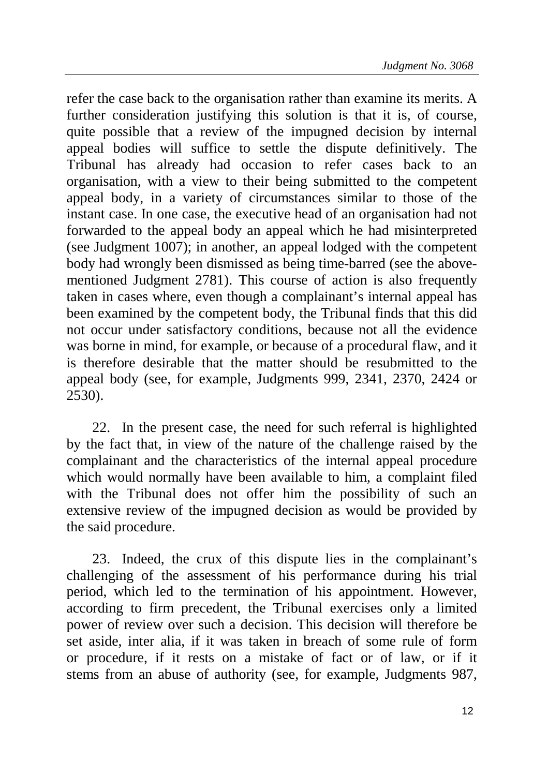refer the case back to the organisation rather than examine its merits. A further consideration justifying this solution is that it is, of course, quite possible that a review of the impugned decision by internal appeal bodies will suffice to settle the dispute definitively. The Tribunal has already had occasion to refer cases back to an organisation, with a view to their being submitted to the competent appeal body, in a variety of circumstances similar to those of the instant case. In one case, the executive head of an organisation had not forwarded to the appeal body an appeal which he had misinterpreted (see Judgment 1007); in another, an appeal lodged with the competent body had wrongly been dismissed as being time-barred (see the abovementioned Judgment 2781). This course of action is also frequently taken in cases where, even though a complainant's internal appeal has been examined by the competent body, the Tribunal finds that this did not occur under satisfactory conditions, because not all the evidence was borne in mind, for example, or because of a procedural flaw, and it is therefore desirable that the matter should be resubmitted to the appeal body (see, for example, Judgments 999, 2341, 2370, 2424 or 2530).

22. In the present case, the need for such referral is highlighted by the fact that, in view of the nature of the challenge raised by the complainant and the characteristics of the internal appeal procedure which would normally have been available to him, a complaint filed with the Tribunal does not offer him the possibility of such an extensive review of the impugned decision as would be provided by the said procedure.

23. Indeed, the crux of this dispute lies in the complainant's challenging of the assessment of his performance during his trial period, which led to the termination of his appointment. However, according to firm precedent, the Tribunal exercises only a limited power of review over such a decision. This decision will therefore be set aside, inter alia, if it was taken in breach of some rule of form or procedure, if it rests on a mistake of fact or of law, or if it stems from an abuse of authority (see, for example, Judgments 987,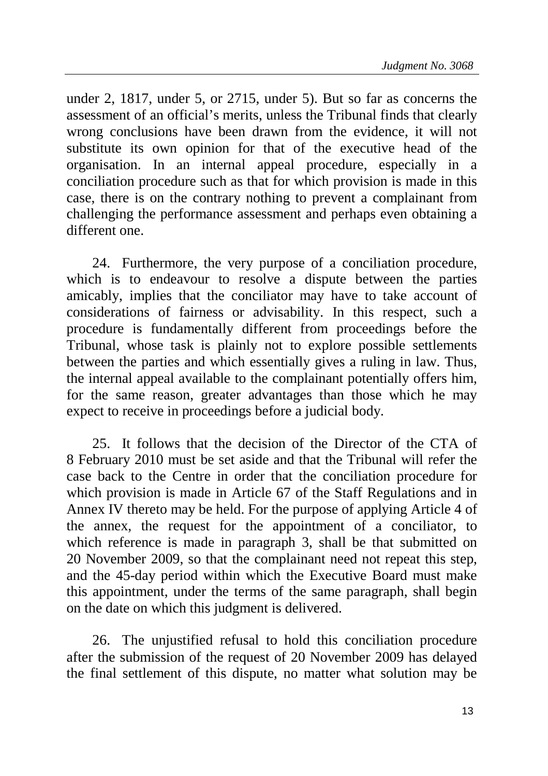under 2, 1817, under 5, or 2715, under 5). But so far as concerns the assessment of an official's merits, unless the Tribunal finds that clearly wrong conclusions have been drawn from the evidence, it will not substitute its own opinion for that of the executive head of the organisation. In an internal appeal procedure, especially in a conciliation procedure such as that for which provision is made in this case, there is on the contrary nothing to prevent a complainant from challenging the performance assessment and perhaps even obtaining a different one.

24. Furthermore, the very purpose of a conciliation procedure, which is to endeavour to resolve a dispute between the parties amicably, implies that the conciliator may have to take account of considerations of fairness or advisability. In this respect, such a procedure is fundamentally different from proceedings before the Tribunal, whose task is plainly not to explore possible settlements between the parties and which essentially gives a ruling in law. Thus, the internal appeal available to the complainant potentially offers him, for the same reason, greater advantages than those which he may expect to receive in proceedings before a judicial body.

25. It follows that the decision of the Director of the CTA of 8 February 2010 must be set aside and that the Tribunal will refer the case back to the Centre in order that the conciliation procedure for which provision is made in Article 67 of the Staff Regulations and in Annex IV thereto may be held. For the purpose of applying Article 4 of the annex, the request for the appointment of a conciliator, to which reference is made in paragraph 3, shall be that submitted on 20 November 2009, so that the complainant need not repeat this step, and the 45-day period within which the Executive Board must make this appointment, under the terms of the same paragraph, shall begin on the date on which this judgment is delivered.

26. The unjustified refusal to hold this conciliation procedure after the submission of the request of 20 November 2009 has delayed the final settlement of this dispute, no matter what solution may be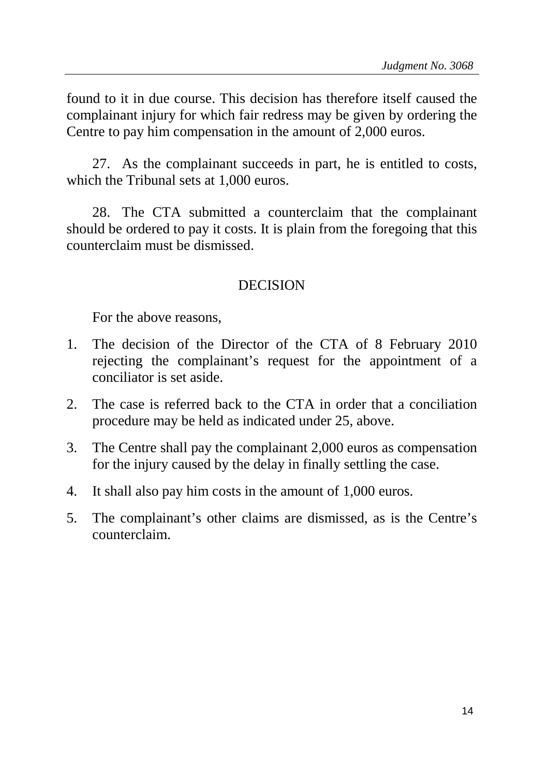found to it in due course. This decision has therefore itself caused the complainant injury for which fair redress may be given by ordering the Centre to pay him compensation in the amount of 2,000 euros.

27. As the complainant succeeds in part, he is entitled to costs, which the Tribunal sets at 1,000 euros.

28. The CTA submitted a counterclaim that the complainant should be ordered to pay it costs. It is plain from the foregoing that this counterclaim must be dismissed.

## DECISION

For the above reasons,

- 1. The decision of the Director of the CTA of 8 February 2010 rejecting the complainant's request for the appointment of a conciliator is set aside.
- 2. The case is referred back to the CTA in order that a conciliation procedure may be held as indicated under 25, above.
- 3. The Centre shall pay the complainant 2,000 euros as compensation for the injury caused by the delay in finally settling the case.
- 4. It shall also pay him costs in the amount of 1,000 euros.
- 5. The complainant's other claims are dismissed, as is the Centre's counterclaim.